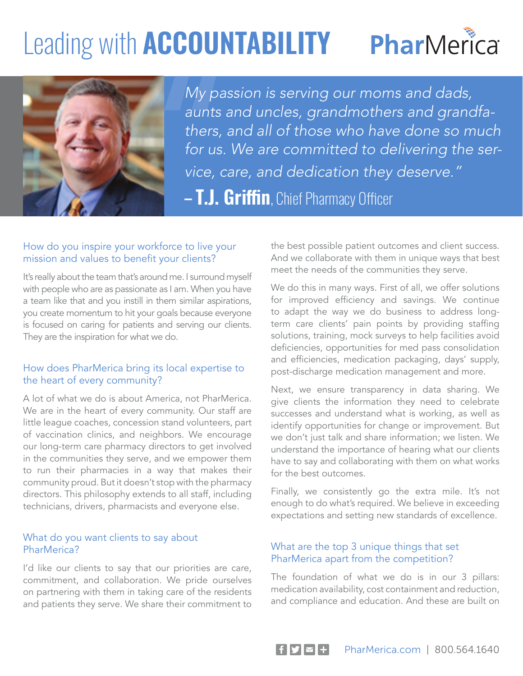# Leading with **ACCOUNTABILITY** PharMerica



*My passion is serving our moms and dads, aunts and uncles, grandmothers and grandfathers, and all of those who have done so much for us. We are committed to delivering the service, care, and dedication they deserve."* **- T.J. Griffin, Chief Pharmacy Officer** 

## How do you inspire your workforce to live your mission and values to benefit your clients?

It's really about the team that's around me. I surround myself with people who are as passionate as I am. When you have a team like that and you instill in them similar aspirations, you create momentum to hit your goals because everyone is focused on caring for patients and serving our clients. They are the inspiration for what we do.

## How does PharMerica bring its local expertise to the heart of every community?

A lot of what we do is about America, not PharMerica. We are in the heart of every community. Our staff are little league coaches, concession stand volunteers, part of vaccination clinics, and neighbors. We encourage our long-term care pharmacy directors to get involved in the communities they serve, and we empower them to run their pharmacies in a way that makes their community proud. But it doesn't stop with the pharmacy directors. This philosophy extends to all staff, including technicians, drivers, pharmacists and everyone else.

#### What do you want clients to say about PharMerica?

I'd like our clients to say that our priorities are care, commitment, and collaboration. We pride ourselves on partnering with them in taking care of the residents and patients they serve. We share their commitment to

the best possible patient outcomes and client success. And we collaborate with them in unique ways that best meet the needs of the communities they serve.

We do this in many ways. First of all, we offer solutions for improved efficiency and savings. We continue to adapt the way we do business to address longterm care clients' pain points by providing staffing solutions, training, mock surveys to help facilities avoid deficiencies, opportunities for med pass consolidation and efficiencies, medication packaging, days' supply, post-discharge medication management and more.

Next, we ensure transparency in data sharing. We give clients the information they need to celebrate successes and understand what is working, as well as identify opportunities for change or improvement. But we don't just talk and share information; we listen. We understand the importance of hearing what our clients have to say and collaborating with them on what works for the best outcomes.

Finally, we consistently go the extra mile. It's not enough to do what's required. We believe in exceeding expectations and setting new standards of excellence.

#### What are the top 3 unique things that set PharMerica apart from the competition?

The foundation of what we do is in our 3 pillars: medication availability, cost containment and reduction, and compliance and education. And these are built on